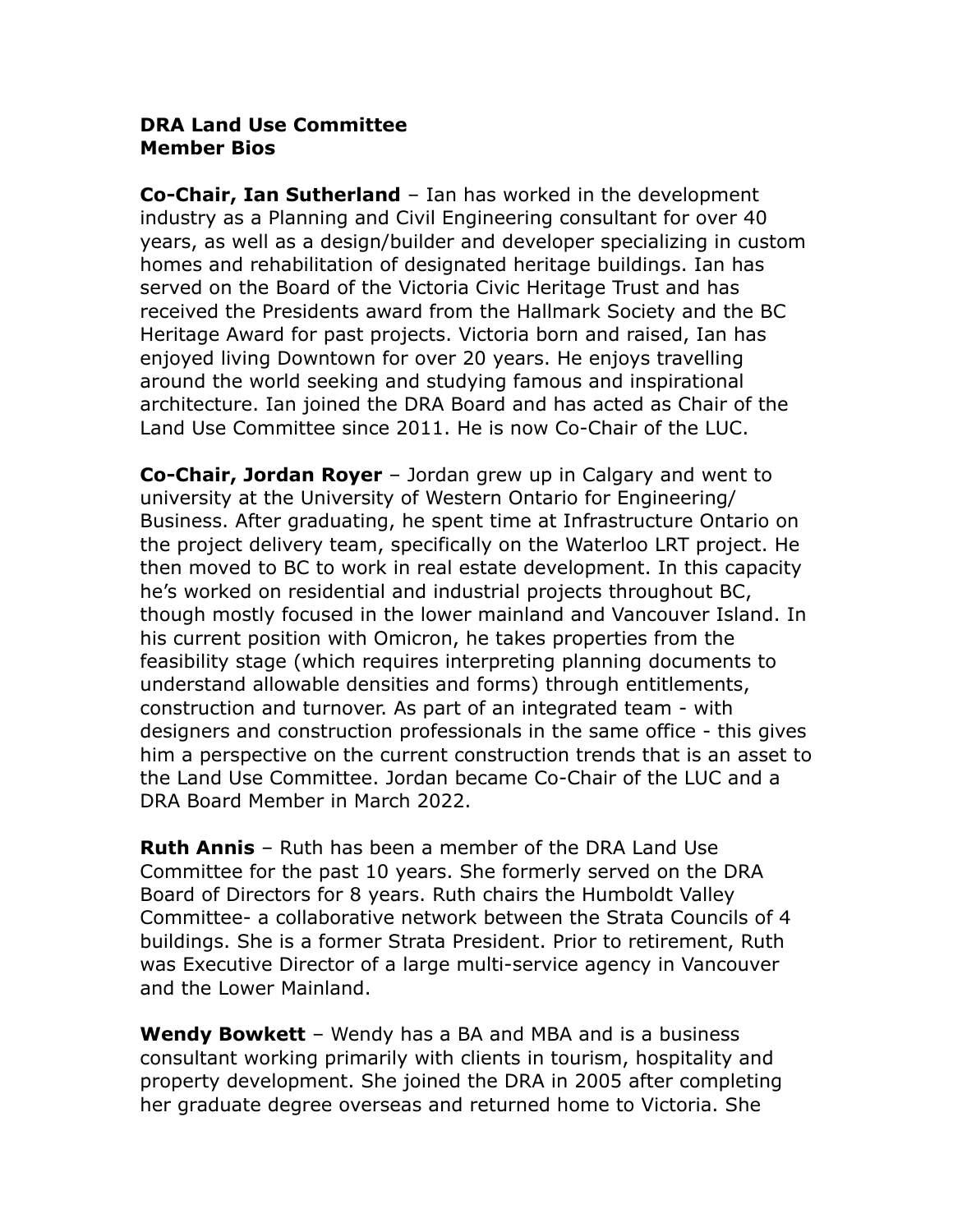## **DRA Land Use Committee Member Bios**

**Co-Chair, Ian Sutherland** – Ian has worked in the development industry as a Planning and Civil Engineering consultant for over 40 years, as well as a design/builder and developer specializing in custom homes and rehabilitation of designated heritage buildings. Ian has served on the Board of the Victoria Civic Heritage Trust and has received the Presidents award from the Hallmark Society and the BC Heritage Award for past projects. Victoria born and raised, Ian has enjoyed living Downtown for over 20 years. He enjoys travelling around the world seeking and studying famous and inspirational architecture. Ian joined the DRA Board and has acted as Chair of the Land Use Committee since 2011. He is now Co-Chair of the LUC.

**Co-Chair, Jordan Royer** – Jordan grew up in Calgary and went to university at the University of Western Ontario for Engineering/ Business. After graduating, he spent time at Infrastructure Ontario on the project delivery team, specifically on the Waterloo LRT project. He then moved to BC to work in real estate development. In this capacity he's worked on residential and industrial projects throughout BC, though mostly focused in the lower mainland and Vancouver Island. In his current position with Omicron, he takes properties from the feasibility stage (which requires interpreting planning documents to understand allowable densities and forms) through entitlements, construction and turnover. As part of an integrated team - with designers and construction professionals in the same office - this gives him a perspective on the current construction trends that is an asset to the Land Use Committee. Jordan became Co-Chair of the LUC and a DRA Board Member in March 2022.

**Ruth Annis** – Ruth has been a member of the DRA Land Use Committee for the past 10 years. She formerly served on the DRA Board of Directors for 8 years. Ruth chairs the Humboldt Valley Committee- a collaborative network between the Strata Councils of 4 buildings. She is a former Strata President. Prior to retirement, Ruth was Executive Director of a large multi-service agency in Vancouver and the Lower Mainland.

**Wendy Bowkett** – Wendy has a BA and MBA and is a business consultant working primarily with clients in tourism, hospitality and property development. She joined the DRA in 2005 after completing her graduate degree overseas and returned home to Victoria. She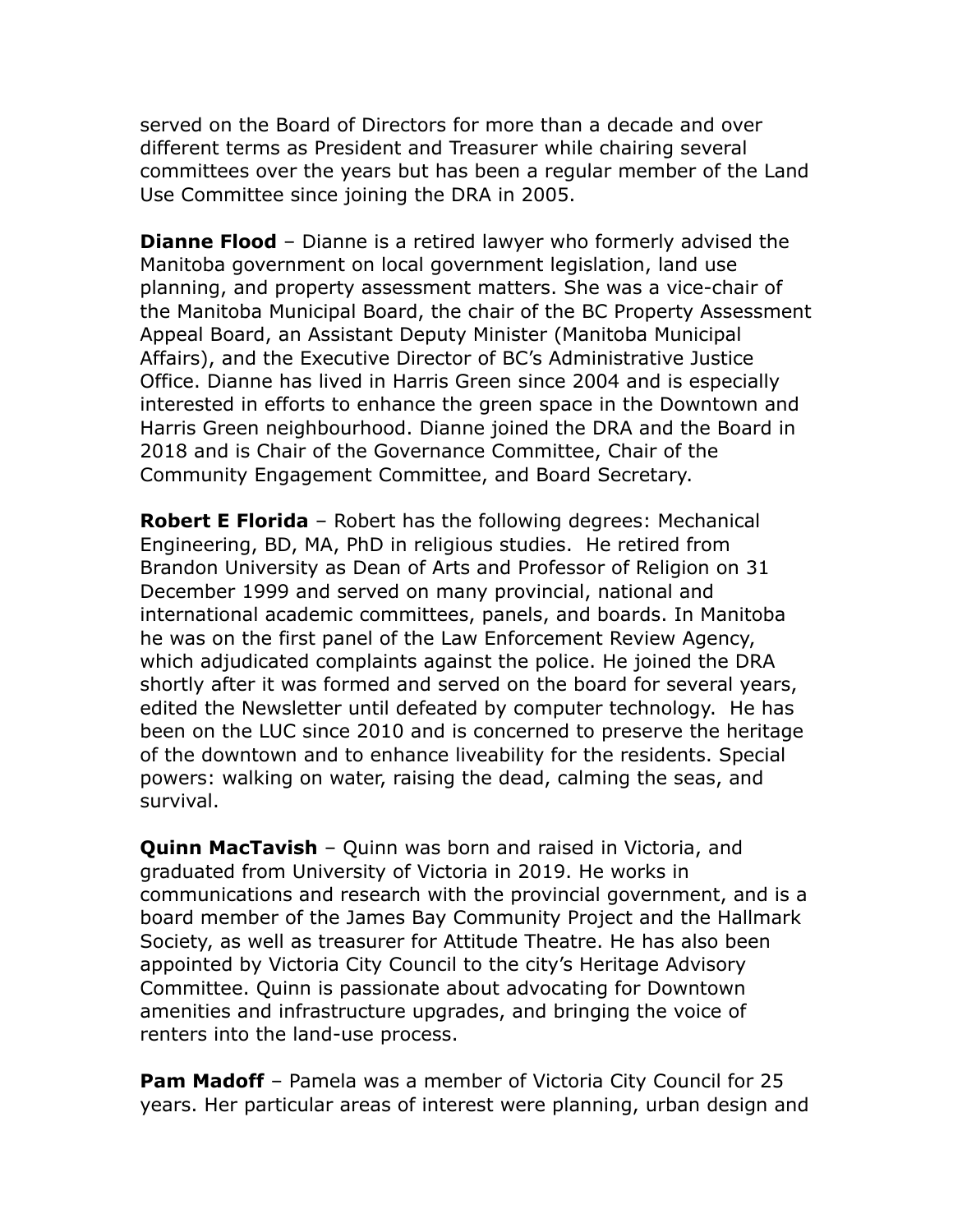served on the Board of Directors for more than a decade and over different terms as President and Treasurer while chairing several committees over the years but has been a regular member of the Land Use Committee since joining the DRA in 2005.

**Dianne Flood** – Dianne is a retired lawyer who formerly advised the Manitoba government on local government legislation, land use planning, and property assessment matters. She was a vice-chair of the Manitoba Municipal Board, the chair of the BC Property Assessment Appeal Board, an Assistant Deputy Minister (Manitoba Municipal Affairs), and the Executive Director of BC's Administrative Justice Office. Dianne has lived in Harris Green since 2004 and is especially interested in efforts to enhance the green space in the Downtown and Harris Green neighbourhood. Dianne joined the DRA and the Board in 2018 and is Chair of the Governance Committee, Chair of the Community Engagement Committee, and Board Secretary.

**Robert E Florida** – Robert has the following degrees: Mechanical Engineering, BD, MA, PhD in religious studies. He retired from Brandon University as Dean of Arts and Professor of Religion on 31 December 1999 and served on many provincial, national and international academic committees, panels, and boards. In Manitoba he was on the first panel of the Law Enforcement Review Agency, which adjudicated complaints against the police. He joined the DRA shortly after it was formed and served on the board for several years, edited the Newsletter until defeated by computer technology. He has been on the LUC since 2010 and is concerned to preserve the heritage of the downtown and to enhance liveability for the residents. Special powers: walking on water, raising the dead, calming the seas, and survival.

**Quinn MacTavish** – Quinn was born and raised in Victoria, and graduated from University of Victoria in 2019. He works in communications and research with the provincial government, and is a board member of the James Bay Community Project and the Hallmark Society, as well as treasurer for Attitude Theatre. He has also been appointed by Victoria City Council to the city's Heritage Advisory Committee. Quinn is passionate about advocating for Downtown amenities and infrastructure upgrades, and bringing the voice of renters into the land-use process.

**Pam Madoff** – Pamela was a member of Victoria City Council for 25 years. Her particular areas of interest were planning, urban design and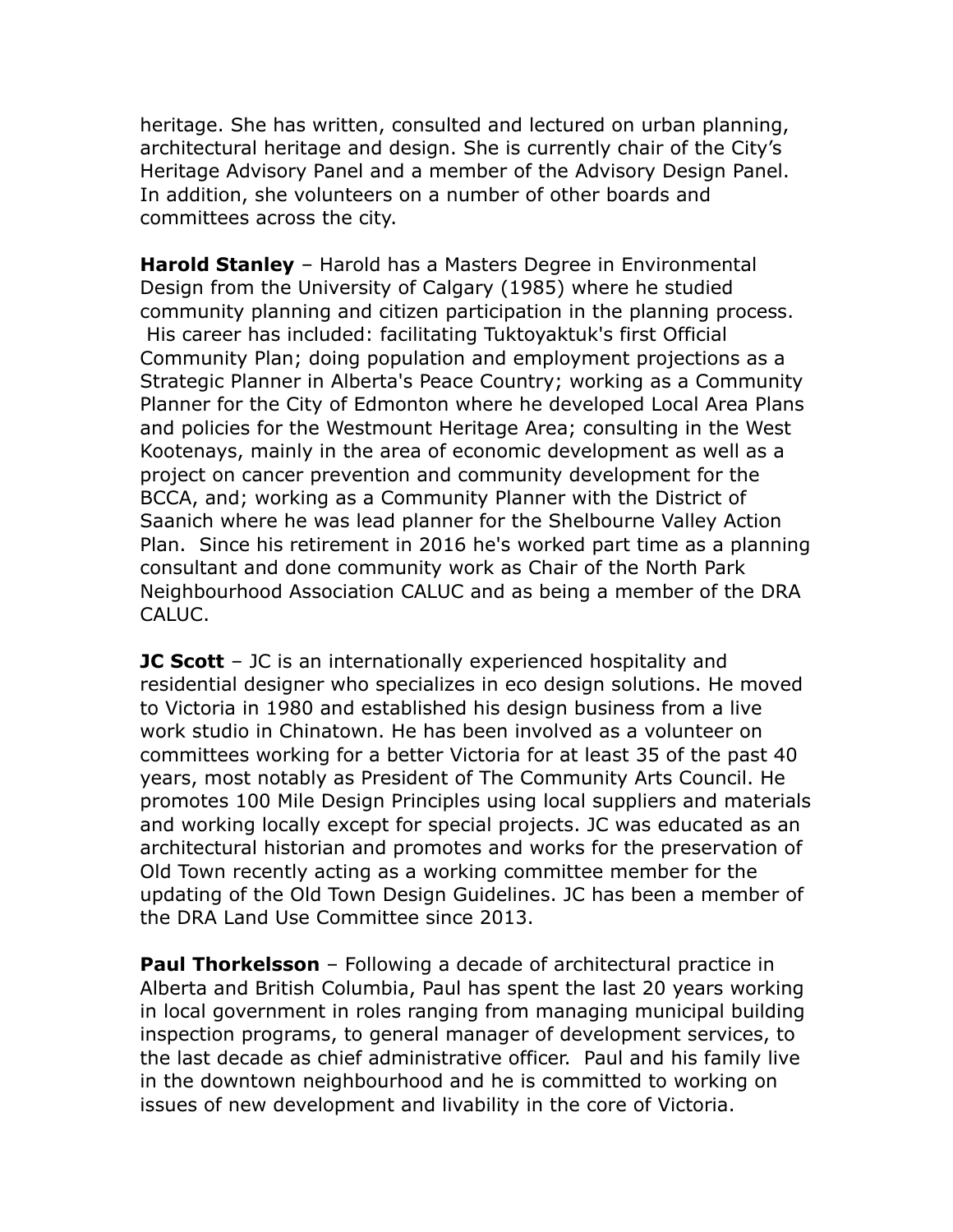heritage. She has written, consulted and lectured on urban planning, architectural heritage and design. She is currently chair of the City's Heritage Advisory Panel and a member of the Advisory Design Panel. In addition, she volunteers on a number of other boards and committees across the city.

**Harold Stanley** – Harold has a Masters Degree in Environmental Design from the University of Calgary (1985) where he studied community planning and citizen participation in the planning process. His career has included: facilitating Tuktoyaktuk's first Official Community Plan; doing population and employment projections as a Strategic Planner in Alberta's Peace Country; working as a Community Planner for the City of Edmonton where he developed Local Area Plans and policies for the Westmount Heritage Area; consulting in the West Kootenays, mainly in the area of economic development as well as a project on cancer prevention and community development for the BCCA, and; working as a Community Planner with the District of Saanich where he was lead planner for the Shelbourne Valley Action Plan. Since his retirement in 2016 he's worked part time as a planning consultant and done community work as Chair of the North Park Neighbourhood Association CALUC and as being a member of the DRA CALUC.

**JC Scott** – JC is an internationally experienced hospitality and residential designer who specializes in eco design solutions. He moved to Victoria in 1980 and established his design business from a live work studio in Chinatown. He has been involved as a volunteer on committees working for a better Victoria for at least 35 of the past 40 years, most notably as President of The Community Arts Council. He promotes 100 Mile Design Principles using local suppliers and materials and working locally except for special projects. JC was educated as an architectural historian and promotes and works for the preservation of Old Town recently acting as a working committee member for the updating of the Old Town Design Guidelines. JC has been a member of the DRA Land Use Committee since 2013.

**Paul Thorkelsson** – Following a decade of architectural practice in Alberta and British Columbia, Paul has spent the last 20 years working in local government in roles ranging from managing municipal building inspection programs, to general manager of development services, to the last decade as chief administrative officer. Paul and his family live in the downtown neighbourhood and he is committed to working on issues of new development and livability in the core of Victoria.